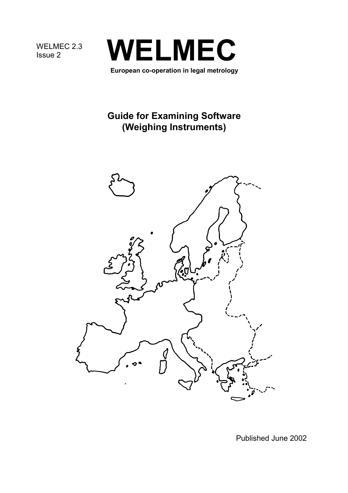WELMEC 2.3



# **Guide for Examining Software (Weighing Instruments)**



Published June 2002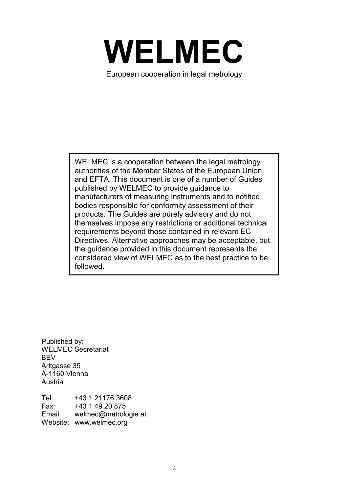

European cooperation in legal metrology

WELMEC is a cooperation between the legal metrology authorities of the Member States of the European Union and EFTA. This document is one of a number of Guides published by WELMEC to provide guidance to manufacturers of measuring instruments and to notified bodies responsible for conformity assessment of their products. The Guides are purely advisory and do not themselves impose any restrictions or additional technical requirements beyond those contained in relevant EC Directives. Alternative approaches may be acceptable, but the guidance provided in this document represents the considered view of WELMEC as to the best practice to be followed.

Published by: WELMEC Secretariat **BFV** Arltgasse 35 A-1160 Vienna Austria

Tel: +43 1 21176 3608 Fax: +43 1 49 20 875 Email: welmec@metrologie.at Website: www.welmec.org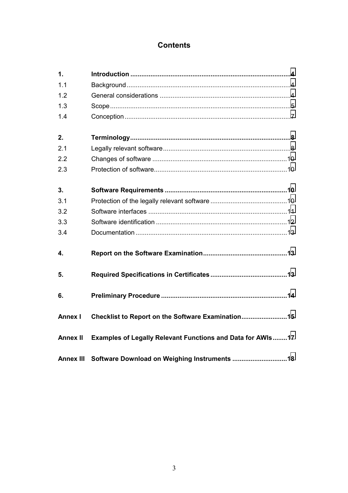## **Contents**

| 1.               |                                                            |  |
|------------------|------------------------------------------------------------|--|
| 1.1              |                                                            |  |
| 1.2              |                                                            |  |
| 1.3              |                                                            |  |
| 1.4              |                                                            |  |
| 2.               |                                                            |  |
| 2.1              |                                                            |  |
| 2.2              |                                                            |  |
| 2.3              |                                                            |  |
| 3.               |                                                            |  |
| 3.1              |                                                            |  |
| 3.2              |                                                            |  |
| 3.3              |                                                            |  |
| 3.4              |                                                            |  |
| 4.               |                                                            |  |
| 5.               |                                                            |  |
| 6.               |                                                            |  |
| <b>Annex I</b>   | Checklist to Report on the Software Examination15          |  |
| <b>Annex II</b>  | Examples of Legally Relevant Functions and Data for AWIs17 |  |
| <b>Annex III</b> |                                                            |  |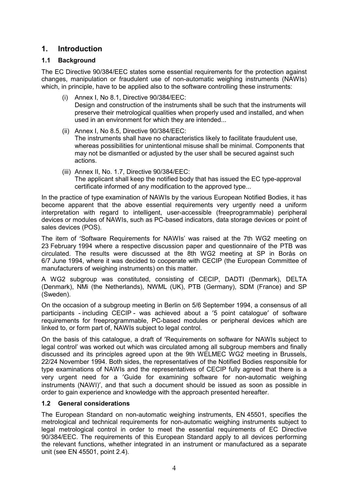## <span id="page-3-0"></span>**1. Introduction**

## **1.1 Background**

The EC Directive 90/384/EEC states some essential requirements for the protection against changes, manipulation or fraudulent use of non-automatic weighing instruments (NAWIs) which, in principle, have to be applied also to the software controlling these instruments:

- (i) Annex I, No 8.1, Directive 90/384/EEC: Design and construction of the instruments shall be such that the instruments will preserve their metrological qualities when properly used and installed, and when used in an environment for which they are intended...
- (ii) Annex I, No 8.5, Directive 90/384/EEC: The instruments shall have no characteristics likely to facilitate fraudulent use, whereas possibilities for unintentional misuse shall be minimal. Components that may not be dismantled or adjusted by the user shall be secured against such actions.
- (iii) Annex II, No. 1.7, Directive 90/384/EEC: The applicant shall keep the notified body that has issued the EC type-approval certificate informed of any modification to the approved type...

In the practice of type examination of NAWIs by the various European Notified Bodies, it has become apparent that the above essential requirements very urgently need a uniform interpretation with regard to intelligent, user-accessible (freeprogrammable) peripheral devices or modules of NAWIs, such as PC-based indicators, data storage devices or point of sales devices (POS).

The item of ′Software Requirements for NAWIs' was raised at the 7th WG2 meeting on 23 February 1994 where a respective discussion paper and questionnaire of the PTB was circulated. The results were discussed at the 8th WG2 meeting at SP in Borås on 6/7 June 1994, where it was decided to cooperate with CECIP (the European Committee of manufacturers of weighing instruments) on this matter.

A WG2 subgroup was constituted, consisting of CECIP, DADTI (Denmark), DELTA (Denmark), NMi (the Netherlands), NWML (UK), PTB (Germany), SDM (France) and SP (Sweden).

On the occasion of a subgroup meeting in Berlin on 5/6 September 1994, a consensus of all participants - including CECIP - was achieved about a ′5 point catalogue′ of software requirements for freeprogrammable, PC-based modules or peripheral devices which are linked to, or form part of, NAWIs subject to legal control.

On the basis of this catalogue, a draft of ′Requirements on software for NAWIs subject to legal control' was worked out which was circulated among all subgroup members and finally discussed and its principles agreed upon at the 9th WELMEC WG2 meeting in Brussels, 22/24 November 1994. Both sides, the representatives of the Notified Bodies responsible for type examinations of NAWIs and the representatives of CECIP fully agreed that there is a very urgent need for a ′Guide for examining software for non-automatic weighing instruments (NAWI)′, and that such a document should be issued as soon as possible in order to gain experience and knowledge with the approach presented hereafter.

## **1.2 General considerations**

The European Standard on non-automatic weighing instruments, EN 45501, specifies the metrological and technical requirements for non-automatic weighing instruments subject to legal metrological control in order to meet the essential requirements of EC Directive 90/384/EEC. The requirements of this European Standard apply to all devices performing the relevant functions, whether integrated in an instrument or manufactured as a separate unit (see EN 45501, point 2.4).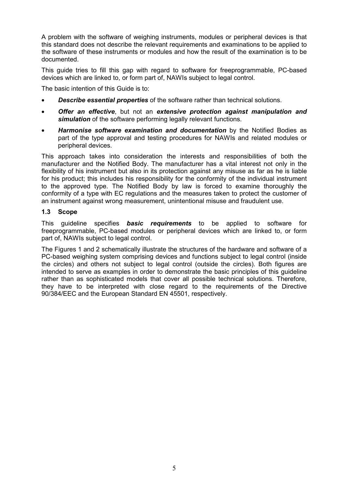<span id="page-4-0"></span>A problem with the software of weighing instruments, modules or peripheral devices is that this standard does not describe the relevant requirements and examinations to be applied to the software of these instruments or modules and how the result of the examination is to be documented.

This guide tries to fill this gap with regard to software for freeprogrammable, PC-based devices which are linked to, or form part of, NAWIs subject to legal control.

The basic intention of this Guide is to:

- *Describe essential properties* of the software rather than technical solutions.
- *Offer an effective*, but not an *extensive protection against manipulation and* **simulation** of the software performing legally relevant functions.
- *Harmonise software examination and documentation* by the Notified Bodies as part of the type approval and testing procedures for NAWIs and related modules or peripheral devices.

This approach takes into consideration the interests and responsibilities of both the manufacturer and the Notified Body. The manufacturer has a vital interest not only in the flexibility of his instrument but also in its protection against any misuse as far as he is liable for his product; this includes his responsibility for the conformity of the individual instrument to the approved type. The Notified Body by law is forced to examine thoroughly the conformity of a type with EC regulations and the measures taken to protect the customer of an instrument against wrong measurement, unintentional misuse and fraudulent use.

### **1.3 Scope**

This guideline specifies *basic requirements* to be applied to software for freeprogrammable, PC-based modules or peripheral devices which are linked to, or form part of, NAWIs subject to legal control.

The Figures 1 and 2 schematically illustrate the structures of the hardware and software of a PC-based weighing system comprising devices and functions subject to legal control (inside the circles) and others not subject to legal control (outside the circles). Both figures are intended to serve as examples in order to demonstrate the basic principles of this guideline rather than as sophisticated models that cover all possible technical solutions. Therefore, they have to be interpreted with close regard to the requirements of the Directive 90/384/EEC and the European Standard EN 45501, respectively.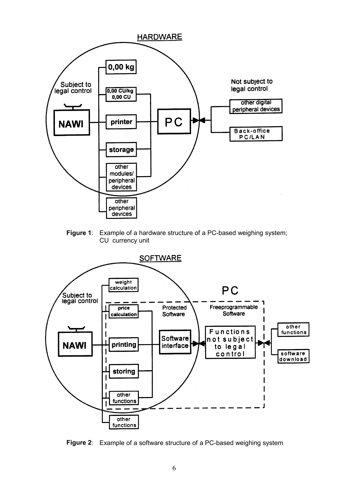

**Figure 1**: Example of a hardware structure of a PC-based weighing system; CU currency unit



**Figure 2**: Example of a software structure of a PC-based weighing system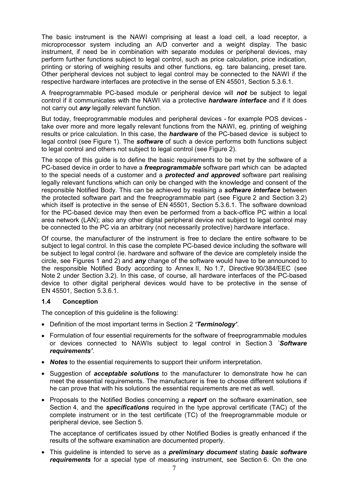<span id="page-6-0"></span>The basic instrument is the NAWI comprising at least a load cell, a load receptor, a microprocessor system including an A/D converter and a weight display. The basic instrument, if need be in combination with separate modules or peripheral devices, may perform further functions subject to legal control, such as price calculation, price indication, printing or storing of weighing results and other functions, eg. tare balancing, preset tare. Other peripheral devices not subject to legal control may be connected to the NAWI if the respective hardware interfaces are protective in the sense of EN 45501, Section 5.3.6.1.

A freeprogrammable PC-based module or peripheral device will *not* be subject to legal control if it communicates with the NAWI via a protective *hardware interface* and if it does not carry out *any* legally relevant function.

But today, freeprogrammable modules and peripheral devices - for example POS devices take over more and more legally relevant functions from the NAWI, eg. printing of weighing results or price calculation. In this case, the *hardware* of the PC-based device is subject to legal control (see Figure 1). The *software* of such a device performs both functions subject to legal control and others not subject to legal control (see Figure 2).

The scope of this guide is to define the basic requirements to be met by the software of a PC-based device in order to have a *freeprogrammable* software part which can be adapted to the special needs of a customer and a *protected and approved* software part realising legally relevant functions which can only be changed with the knowledge and consent of the responsible Notified Body. This can be achieved by realising a *software interface* between the protected software part and the freeprogrammable part (see Figure 2 and Section 3.2) which itself is protective in the sense of EN 45501, Section 5.3.6.1. The software download for the PC-based device may then even be performed from a back-office PC within a local area network (LAN); also any other digital peripheral device not subject to legal control may be connected to the PC via an arbitrary (not necessarily protective) hardware interface.

Of course, the manufacturer of the instrument is free to declare the entire software to be subject to legal control. In this case the complete PC-based device including the software will be subject to legal control (ie. hardware and software of the device are completely inside the circle, see Figures 1 and 2) and *any* change of the software would have to be announced to the responsible Notified Body according to Annex II, No 1.7, Directive 90/384/EEC (see Note 2 under Section 3.2). In this case, of course, all hardware interfaces of the PC-based device to other digital peripheral devices would have to be protective in the sense of EN 45501, Section 5.3.6.1.

### **1.4 Conception**

The conception of this guideline is the following:

- Definition of the most important terms in Section 2 *'Terminology'*.
- Formulation of four essential requirements for the software of freeprogrammable modules or devices connected to NAWIs subject to legal control in Section 3 *`Software requirements'*.
- *Notes* to the essential requirements to support their uniform interpretation.
- Suggestion of *acceptable solutions* to the manufacturer to demonstrate how he can meet the essential requirements. The manufacturer is free to choose different solutions if he can prove that with his solutions the essential requirements are met as well.
- Proposals to the Notified Bodies concerning a *report* on the software examination, see Section 4, and the *specifications* required in the type approval certificate (TAC) of the complete instrument or in the test certificate (TC) of the freeprogrammable module or peripheral device, see Section 5.

The acceptance of certificates issued by other Notified Bodies is greatly enhanced if the results of the software examination are documented properly.

• This guideline is intended to serve as a *preliminary document* stating *basic software requirements* for a special type of measuring instrument, see Section 6. On the one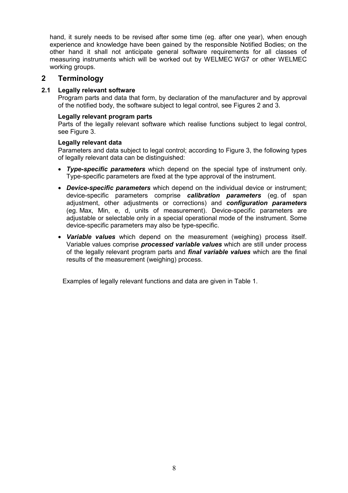<span id="page-7-0"></span>hand, it surely needs to be revised after some time (eg. after one year), when enough experience and knowledge have been gained by the responsible Notified Bodies; on the other hand it shall not anticipate general software requirements for all classes of measuring instruments which will be worked out by WELMEC WG7 or other WELMEC working groups.

## **2 Terminology**

### **2.1 Legally relevant software**

Program parts and data that form, by declaration of the manufacturer and by approval of the notified body, the software subject to legal control, see Figures 2 and 3.

### **Legally relevant program parts**

Parts of the legally relevant software which realise functions subject to legal control, see Figure 3.

### **Legally relevant data**

Parameters and data subject to legal control; according to Figure 3, the following types of legally relevant data can be distinguished:

- *Type-specific parameters* which depend on the special type of instrument only. Type-specific parameters are fixed at the type approval of the instrument.
- *Device-specific parameters* which depend on the individual device or instrument; device-specific parameters comprise *calibration parameters* (eg. of span adjustment, other adjustments or corrections) and *configuration parameters* (eg. Max, Min, e, d, units of measurement). Device-specific parameters are adjustable or selectable only in a special operational mode of the instrument. Some device-specific parameters may also be type-specific.
- *Variable values* which depend on the measurement (weighing) process itself. Variable values comprise *processed variable values* which are still under process of the legally relevant program parts and *final variable values* which are the final results of the measurement (weighing) process.

Examples of legally relevant functions and data are given in Table 1.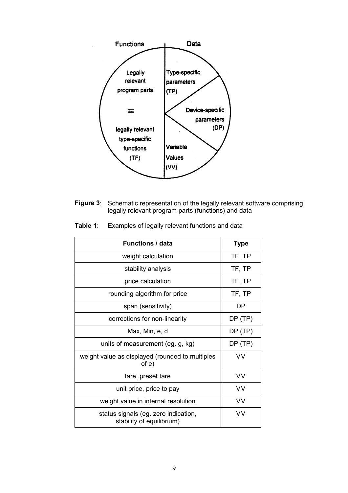

**Figure 3**: Schematic representation of the legally relevant software comprising legally relevant program parts (functions) and data

| <b>Functions / data</b>                                           | <b>Type</b> |
|-------------------------------------------------------------------|-------------|
| weight calculation                                                | TF, TP      |
| stability analysis                                                | TF, TP      |
| price calculation                                                 | TF, TP      |
| rounding algorithm for price                                      | TF, TP      |
| span (sensitivity)                                                | DP          |
| corrections for non-linearity                                     | DP (TP)     |
| Max, Min, e, d                                                    | DP(TP)      |
| units of measurement (eg. g, kg)                                  | DP(TP)      |
| weight value as displayed (rounded to multiples<br>of e)          | ۷V          |
| tare, preset tare                                                 | ۷V          |
| unit price, price to pay                                          | VV          |
| weight value in internal resolution                               | VV          |
| status signals (eg. zero indication,<br>stability of equilibrium) | ۷V          |

**Table 1**: Examples of legally relevant functions and data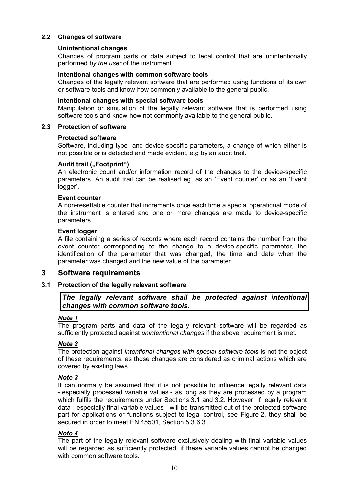### <span id="page-9-0"></span>**2.2 Changes of software**

### **Unintentional changes**

Changes of program parts or data subject to legal control that are unintentionally performed *by the user* of the instrument.

### **Intentional changes with common software tools**

Changes of the legally relevant software that are performed using functions of its own or software tools and know-how commonly available to the general public.

#### **Intentional changes with special software tools**

Manipulation or simulation of the legally relevant software that is performed using software tools and know-how not commonly available to the general public.

### **2.3 Protection of software**

### **Protected software**

Software, including type- and device-specific parameters, a change of which either is not possible or is detected and made evident, e.g by an audit trail.

### Audit trail (..Footprint")

An electronic count and/or information record of the changes to the device-specific parameters. An audit trail can be realised eg. as an 'Event counter' or as an 'Event logger'.

### **Event counter**

A non-resettable counter that increments once each time a special operational mode of the instrument is entered and one or more changes are made to device-specific parameters.

### **Event logger**

A file containing a series of records where each record contains the number from the event counter corresponding to the change to a device-specific parameter, the identification of the parameter that was changed, the time and date when the parameter was changed and the new value of the parameter.

### **3 Software requirements**

### **3.1 Protection of the legally relevant software**

### *The legally relevant software shall be protected against intentional changes with common software tools.*

### *Note 1*

The program parts and data of the legally relevant software will be regarded as sufficiently protected against *unintentional changes* if the above requirement is met.

### *Note 2*

The protection against *intentional changes with special software tools* is not the object of these requirements, as those changes are considered as criminal actions which are covered by existing laws.

#### *Note 3*

It can normally be assumed that it is not possible to influence legally relevant data - especially processed variable values - as long as they are processed by a program which fulfils the requirements under Sections 3.1 and 3.2. However, if legally relevant data - especially final variable values - will be transmitted out of the protected software part for applications or functions subject to legal control, see Figure 2, they shall be secured in order to meet EN 45501, Section 5.3.6.3.

#### *Note 4*

The part of the legally relevant software exclusively dealing with final variable values will be regarded as sufficiently protected, if these variable values cannot be changed with common software tools.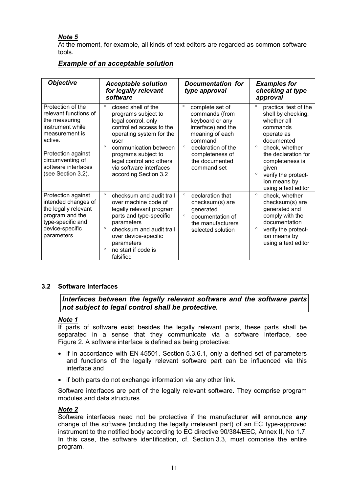## <span id="page-10-0"></span>*Note 5*

At the moment, for example, all kinds of text editors are regarded as common software tools.

| <b>Objective</b>                                                                                                                                                                                    | <b>Acceptable solution</b><br>for legally relevant<br>software                                                                                                                                                                                                                          | Documentation for<br>type approval                                                                                                                                                                       | <b>Examples for</b><br>checking at type<br>approval                                                                                                                                                                                                                    |
|-----------------------------------------------------------------------------------------------------------------------------------------------------------------------------------------------------|-----------------------------------------------------------------------------------------------------------------------------------------------------------------------------------------------------------------------------------------------------------------------------------------|----------------------------------------------------------------------------------------------------------------------------------------------------------------------------------------------------------|------------------------------------------------------------------------------------------------------------------------------------------------------------------------------------------------------------------------------------------------------------------------|
| Protection of the<br>relevant functions of<br>the measuring<br>instrument while<br>measurement is<br>active.<br>Protection against<br>circumventing of<br>software interfaces<br>(see Section 3.2). | $\circ$<br>closed shell of the<br>programs subject to<br>legal control, only<br>controlled access to the<br>operating system for the<br>user<br>$\circ$<br>communication between<br>programs subject to<br>legal control and others<br>via software interfaces<br>according Section 3.2 | $\circ$<br>complete set of<br>commands (from<br>keyboard or any<br>interface) and the<br>meaning of each<br>command<br>$\circ$<br>declaration of the<br>completeness of<br>the documented<br>command set | $\circ$<br>practical test of the<br>shell by checking,<br>whether all<br>commands<br>operate as<br>documented<br>$\circ$<br>check, whether<br>the declaration for<br>completeness is<br>given<br>$\circ$<br>verify the protect-<br>ion means by<br>using a text editor |
| Protection against<br>intended changes of<br>the legally relevant<br>program and the<br>type-specific and<br>device-specific<br>parameters                                                          | $\circ$<br>checksum and audit trail<br>over machine code of<br>legally relevant program<br>parts and type-specific<br>parameters<br>$\circ$<br>checksum and audit trail<br>over device-specific<br>parameters<br>$\circ$<br>no start if code is<br>falsified                            | $\circ$<br>declaration that<br>checksum(s) are<br>generated<br>$\circ$<br>documentation of<br>the manufacturers<br>selected solution                                                                     | $\circ$<br>check, whether<br>checksum(s) are<br>generated and<br>comply with the<br>documentation<br>verify the protect-<br>ion means by<br>using a text editor                                                                                                        |

## *Example of an acceptable solution*

## **3.2 Software interfaces**

*Interfaces between the legally relevant software and the software parts not subject to legal control shall be protective.*

### *Note 1*

If parts of software exist besides the legally relevant parts, these parts shall be separated in a sense that they communicate via a software interface, see Figure 2. A software interface is defined as being protective:

- if in accordance with EN 45501, Section 5.3.6.1, only a defined set of parameters and functions of the legally relevant software part can be influenced via this interface and
- if both parts do not exchange information via any other link.

Software interfaces are part of the legally relevant software. They comprise program modules and data structures.

### *Note 2*

Software interfaces need not be protective if the manufacturer will announce *any* change of the software (including the legally irrelevant part) of an EC type-approved instrument to the notified body according to EC directive 90/384/EEC, Annex II, No 1.7. In this case, the software identification, cf. Section 3.3, must comprise the entire program.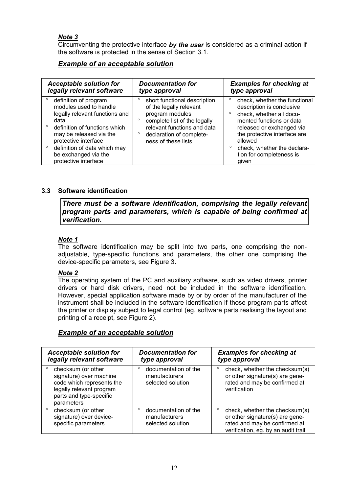## <span id="page-11-0"></span>*Note 3*

Circumventing the protective interface *by the user* is considered as a criminal action if the software is protected in the sense of Section 3.1.

## *Example of an acceptable solution*

| <b>Acceptable solution for</b>                                                                                                                                                                                                                                | <b>Documentation for</b>                                                                                                                                                                                           | <b>Examples for checking at</b>                                                                                                                                                                                                                                |
|---------------------------------------------------------------------------------------------------------------------------------------------------------------------------------------------------------------------------------------------------------------|--------------------------------------------------------------------------------------------------------------------------------------------------------------------------------------------------------------------|----------------------------------------------------------------------------------------------------------------------------------------------------------------------------------------------------------------------------------------------------------------|
| legally relevant software                                                                                                                                                                                                                                     | type approval                                                                                                                                                                                                      | type approval                                                                                                                                                                                                                                                  |
| definition of program<br>modules used to handle<br>legally relevant functions and<br>data<br>definition of functions which<br>may be released via the<br>protective interface<br>definition of data which may<br>be exchanged via the<br>protective interface | short functional description<br>of the legally relevant<br>program modules<br>complete list of the legally<br>$\circ$<br>relevant functions and data<br>declaration of complete-<br>$\circ$<br>ness of these lists | check, whether the functional<br>description is conclusive<br>check, whether all docu-<br>mented functions or data<br>released or exchanged via<br>the protective interface are<br>allowed<br>check, whether the declara-<br>tion for completeness is<br>aiven |

### **3.3 Software identification**

*There must be a software identification, comprising the legally relevant program parts and parameters, which is capable of being confirmed at verification.*

### *Note 1*

The software identification may be split into two parts, one comprising the nonadjustable, type-specific functions and parameters, the other one comprising the device-specific parameters, see Figure 3.

### *Note 2*

The operating system of the PC and auxiliary software, such as video drivers, printer drivers or hard disk drivers, need not be included in the software identification. However, special application software made by or by order of the manufacturer of the instrument shall be included in the software identification if those program parts affect the printer or display subject to legal control (eg. software parts realising the layout and printing of a receipt, see Figure 2).

## *Example of an acceptable solution*

| <b>Acceptable solution for</b><br>legally relevant software                                                                                                | <b>Documentation for</b><br>type approval                             | <b>Examples for checking at</b><br>type approval                                                                                                     |
|------------------------------------------------------------------------------------------------------------------------------------------------------------|-----------------------------------------------------------------------|------------------------------------------------------------------------------------------------------------------------------------------------------|
| $\circ$<br>checksum (or other<br>signature) over machine<br>code which represents the<br>legally relevant program<br>parts and type-specific<br>parameters | $\circ$<br>documentation of the<br>manufacturers<br>selected solution | O<br>check, whether the checksum(s)<br>or other signature(s) are gene-<br>rated and may be confirmed at<br>verification                              |
| checksum (or other<br>o<br>signature) over device-<br>specific parameters                                                                                  | documentation of the<br>$\circ$<br>manufacturers<br>selected solution | check, whether the checksum(s)<br>$\circ$<br>or other signature(s) are gene-<br>rated and may be confirmed at<br>verification, eg. by an audit trail |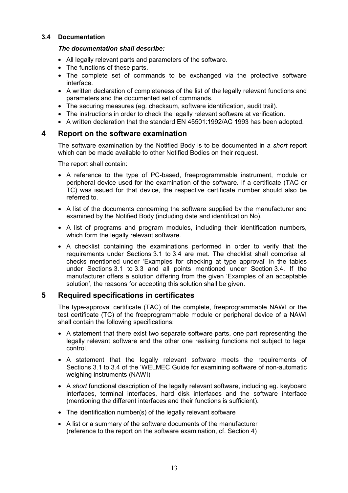### <span id="page-12-0"></span>**3.4 Documentation**

### *The documentation shall describe:*

- All legally relevant parts and parameters of the software.
- The functions of these parts.
- The complete set of commands to be exchanged via the protective software interface.
- A written declaration of completeness of the list of the legally relevant functions and parameters and the documented set of commands.
- The securing measures (eg. checksum, software identification, audit trail).
- The instructions in order to check the legally relevant software at verification.
- A written declaration that the standard EN 45501:1992/AC 1993 has been adopted.

## **4 Report on the software examination**

The software examination by the Notified Body is to be documented in a *short* report which can be made available to other Notified Bodies on their request.

The report shall contain:

- A reference to the type of PC-based, freeprogrammable instrument, module or peripheral device used for the examination of the software. If a certificate (TAC or TC) was issued for that device, the respective certificate number should also be referred to.
- A list of the documents concerning the software supplied by the manufacturer and examined by the Notified Body (including date and identification No).
- A list of programs and program modules, including their identification numbers, which form the legally relevant software.
- A checklist containing the examinations performed in order to verify that the requirements under Sections 3.1 to 3.4 are met. The checklist shall comprise all checks mentioned under 'Examples for checking at type approval' in the tables under Sections 3.1 to 3.3 and all points mentioned under Section 3.4. If the manufacturer offers a solution differing from the given 'Examples of an acceptable solution', the reasons for accepting this solution shall be given.

## **5 Required specifications in certificates**

The type-approval certificate (TAC) of the complete, freeprogrammable NAWI or the test certificate (TC) of the freeprogrammable module or peripheral device of a NAWI shall contain the following specifications:

- A statement that there exist two separate software parts, one part representing the legally relevant software and the other one realising functions not subject to legal control.
- A statement that the legally relevant software meets the requirements of Sections 3.1 to 3.4 of the 'WELMEC Guide for examining software of non-automatic weighing instruments (NAWI)
- A *short* functional description of the legally relevant software, including eg. keyboard interfaces, terminal interfaces, hard disk interfaces and the software interface (mentioning the different interfaces and their functions is sufficient).
- The identification number(s) of the legally relevant software
- A list or a summary of the software documents of the manufacturer (reference to the report on the software examination, cf. Section 4)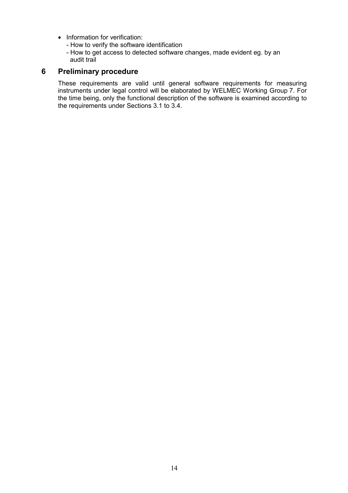- <span id="page-13-0"></span>• Information for verification:
	- How to verify the software identification
	- How to get access to detected software changes, made evident eg. by an audit trail

## **6 Preliminary procedure**

These requirements are valid until general software requirements for measuring instruments under legal control will be elaborated by WELMEC Working Group 7. For the time being, only the functional description of the software is examined according to the requirements under Sections 3.1 to 3.4.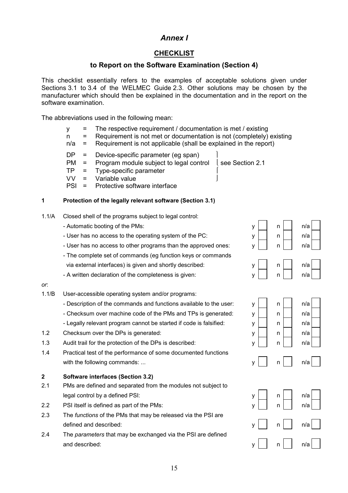## *Annex I*

## **CHECKLIST**

## **to Report on the Software Examination (Section 4)**

<span id="page-14-0"></span>This checklist essentially refers to the examples of acceptable solutions given under Sections 3.1 to 3.4 of the WELMEC Guide 2.3. Other solutions may be chosen by the manufacturer which should then be explained in the documentation and in the report on the software examination.

The abbreviations used in the following mean:

- $y =$  The respective requirement / documentation is met / existing
- n = Requirement is not met or documentation is not (completely) existing
- $n/a$  = Requirement is not applicable (shall be explained in the report)
- DP = Device-specific parameter (eg span)
- $PM = Program$  module subject to legal control  $\left\{ \text{see Section 2.1} \right\}$
- TP = Type-specific parameter
- VV = Variable value
- PSI = Protective software interface

### **1 Protection of the legally relevant software (Section 3.1)**

- 1.1/A Closed shell of the programs subject to legal control:
	- Automatic booting of the PMs:  $y \mid \begin{array}{|c|c|c|c|c|} \hline \dots & y & n \end{array}$  n/a
	- User has no access to the operating system of the PC:  $y \mid \mathbf{n} \mid \mathbf{n}$
	- User has no access to other programs than the approved ones:  $y \mid \mathbf{n} \mid \mathbf{n}$
	- The complete set of commands (eg function keys or commands via external interfaces) is given and shortly described:  $y \mid \text{ } n \mid \text{ } n/2$
	- A written declaration of the completeness is given:  $y \mid \mid n \mid \mid n/a$
- *or*:
- 1.1/B User-accessible operating system and/or programs:
	- Description of the commands and functions available to the user:  $y \mid \mathbf{a} \mid \mathbf{a}$
	- Checksum over machine code of the PMs and TPs is generated:  $y \mid \mathbf{a} \mid \mathbf{a}$
	- Legally relevant program cannot be started if code is falsified:  $y \mid \mathbf{n} \mid \mathbf{n}$
- 1.2 Checksum over the DPs is generated:  $y \mid \text{ } n \mid \text{ } n/a$
- 1.3 Audit trail for the protection of the DPs is described:  $y \mid \eta$  n n/a
- 1.4 Practical test of the performance of some documented functions with the following commands: ...  $\mathsf{v} \cap \mathsf{v} \cap \mathsf{v} \cap \mathsf{v} \cap \mathsf{v} \cap \mathsf{v}$

### **2 Software interfaces (Section 3.2)**

- 2.1 PMs are defined and separated from the modules not subject to legal control by a defined PSI:  $y \mid \begin{array}{c|c} | & n \end{array}$  n/a
- 2.2 PSI itself is defined as part of the PMs:  $y \mid \nvert n \mid \nvert n/a$
- 2.3 The *functions* of the PMs that may be released via the PSI are defined and described:  $\mathsf{v} \parallel \mathsf{n} \parallel \mathsf{n}/\mathsf{a}$
- 2.4 The *parameters* that may be exchanged via the PSI are defined and described:  $y \mid \mid n \mid \mid n/a$

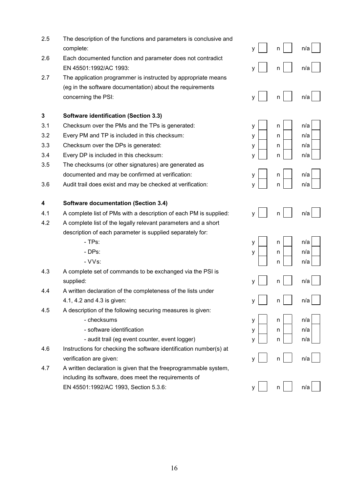| 2.5 | The description of the functions and parameters is conclusive and<br>complete:                                                                    | у | n | n/a |
|-----|---------------------------------------------------------------------------------------------------------------------------------------------------|---|---|-----|
| 2.6 | Each documented function and parameter does not contradict<br>EN 45501:1992/AC 1993:                                                              | у | n | n/a |
| 2.7 | The application programmer is instructed by appropriate means<br>(eg in the software documentation) about the requirements<br>concerning the PSI: | у | n | n/a |
| 3   | <b>Software identification (Section 3.3)</b>                                                                                                      |   |   |     |
| 3.1 | Checksum over the PMs and the TPs is generated:                                                                                                   | у | n | n/a |
| 3.2 | Every PM and TP is included in this checksum:                                                                                                     | у | n | n/a |
| 3.3 | Checksum over the DPs is generated:                                                                                                               | у | n | n/a |
| 3.4 | Every DP is included in this checksum:                                                                                                            | у | n | n/a |
| 3.5 | The checksums (or other signatures) are generated as                                                                                              |   |   |     |
|     | documented and may be confirmed at verification:                                                                                                  | у | n | n/a |
| 3.6 | Audit trail does exist and may be checked at verification:                                                                                        | у | n | n/a |
| 4   | <b>Software documentation (Section 3.4)</b>                                                                                                       |   |   |     |
| 4.1 | A complete list of PMs with a description of each PM is supplied:                                                                                 | ٧ | n | n/a |
| 4.2 | A complete list of the legally relevant parameters and a short                                                                                    |   |   |     |
|     | description of each parameter is supplied separately for:                                                                                         |   |   |     |
|     | - TPs:                                                                                                                                            | у | n | n/a |
|     | - DPs:                                                                                                                                            | у | n | n/a |
|     | $-VVs$ :                                                                                                                                          |   | n | n/a |
| 4.3 | A complete set of commands to be exchanged via the PSI is                                                                                         |   |   |     |
|     | supplied:                                                                                                                                         | у | n | n/a |
| 4.4 | A written declaration of the completeness of the lists under                                                                                      |   |   |     |
|     | 4.1, 4.2 and 4.3 is given:                                                                                                                        | у | n | n/a |
| 4.5 | A description of the following securing measures is given:                                                                                        |   |   |     |
|     | - checksums                                                                                                                                       | у | n | n/a |
|     | - software identification                                                                                                                         | у | n | n/a |
|     | - audit trail (eg event counter, event logger)                                                                                                    | у | n | n/a |
| 4.6 | Instructions for checking the software identification number(s) at                                                                                |   |   |     |
|     | verification are given:                                                                                                                           | у | n | n/a |
| 4.7 | A written declaration is given that the freeprogrammable system,                                                                                  |   |   |     |
|     | including its software, does meet the requirements of<br>EN 45501:1992/AC 1993, Section 5.3.6:                                                    |   |   |     |
|     |                                                                                                                                                   |   | n | n/a |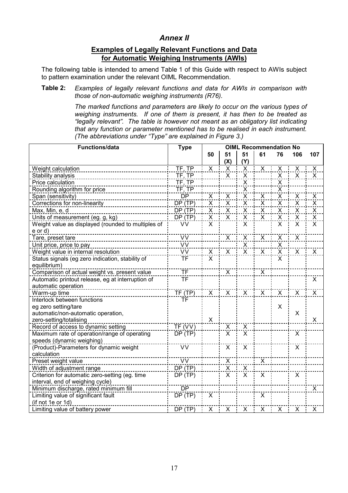## *Annex II*

### **Examples of Legally Relevant Functions and Data for Automatic Weighing Instruments (AWIs)**

<span id="page-16-0"></span>The following table is intended to amend Table 1 of this Guide with respect to AWIs subject to pattern examination under the relevant OIML Recommendation.

#### **Table 2:** *Examples of legally relevant functions and data for AWIs in comparison with those of non-automatic weighing instruments (R76).*

*The marked functions and parameters are likely to occur on the various types of weighing instruments. If one of them is present, it has then to be treated as "legally relevant". The table is however not meant as an obligatory list indicating that any function or parameter mentioned has to be realised in each instrument. (The abbreviations under "Type" are explained in Figure 3.)*

| Functions/data                                     | <b>Type</b> | <b>OIML Recommendation No</b> |                         |                         |                                     |                         |                           |                         |
|----------------------------------------------------|-------------|-------------------------------|-------------------------|-------------------------|-------------------------------------|-------------------------|---------------------------|-------------------------|
|                                                    |             | 50                            | 51                      | 51                      | 61                                  | 76                      | 106                       | 107                     |
|                                                    |             |                               | (X)                     | (Y)                     |                                     |                         |                           |                         |
| Weight calculation                                 | TF, TP      | $\overline{X}$                | $\overline{\mathsf{x}}$ | $\overline{\mathsf{X}}$ | $\overline{X}$                      | X                       | X                         | $\overline{\mathsf{X}}$ |
| <b>Stability analysis</b>                          | TF, TP      |                               | $\overline{\mathsf{x}}$ | $\pmb{\mathsf{X}}$      |                                     | $\overline{X}$          | $\overline{X}$            | $\boldsymbol{X}$        |
| Price calculation                                  | TF, TP      |                               |                         | X.                      |                                     | $\overline{\mathsf{X}}$ |                           |                         |
| Rounding algorithm for price                       | TF, TP      |                               |                         | X.                      |                                     | X                       |                           |                         |
| Span (sensitivity)                                 | <b>DP</b>   | $\overline{\mathsf{x}}$       | $\overline{X}$          | $\mathsf{\dot{X}}$      | X                                   | $\frac{X}{X}$           | $\pmb{\mathsf{X}}$        | X                       |
| Corrections for non-linearity                      | DP (TP)     | $\overline{\mathsf{x}}$       | $\overline{\mathsf{x}}$ | $\overline{\mathsf{x}}$ | $\overline{\mathsf{x}}$             |                         | $\overline{X}$            | X                       |
| Max, Min, e, d                                     | DP(TP)      | $\pmb{\mathsf{X}}$            | X                       | $\overline{\mathsf{x}}$ | $\frac{\overline{x}}{\overline{x}}$ | $\overline{X}$          | $\mathsf X$               | $\frac{x}{x}$           |
| Units of measurement (eg. g, kg)                   | DP(TP)      | $\overline{X}$                | $\overline{\mathsf{x}}$ | $\overline{X}$          |                                     | $\bar{\mathsf{x}}$      | $\overline{\mathsf{x}}$   |                         |
| Weight value as displayed (rounded to multiples of | <b>VV</b>   | $\overline{X}$                |                         | X                       |                                     | X                       | $\overline{X}$            | $\overline{X}$          |
| $e$ or $d$ )                                       |             |                               |                         |                         |                                     |                         |                           |                         |
| Tare, preset tare                                  | <b>VV</b>   |                               | $\overline{X}$          | X                       | $\overline{X}$                      | $\pmb{\times}$          | $\overline{X}$            |                         |
| Unit price, price to pay                           | VV          |                               |                         | $\frac{x}{x}$           |                                     | $\frac{X}{X}$           |                           |                         |
| Weight value in internal resolution                | VV          | X                             | $\overline{X}$          |                         | $\overline{X}$                      |                         | $\overline{X}$            | $\mathsf{X}$            |
| Status signals (eg zero indication, stability of   | <b>TF</b>   | X                             |                         |                         |                                     | X                       |                           |                         |
| equilibrium)                                       |             |                               |                         |                         |                                     |                         |                           |                         |
| Comparison of actual weight vs. present value      | <b>TF</b>   |                               | $\mathsf{X}$            |                         | $\boldsymbol{X}$                    |                         |                           |                         |
| Automatic printout release, eg at interruption of  | ΤF          |                               |                         |                         |                                     |                         |                           | X                       |
| automatic operation                                |             |                               |                         |                         |                                     |                         |                           |                         |
| Warm-up time                                       | TF(TP)      | $\overline{X}$                | $\overline{X}$          | $\overline{X}$          | $\overline{\mathsf{x}}$             | X                       | $\overline{X}$            | $\overline{X}$          |
| Interlock between functions                        | <b>TF</b>   |                               |                         |                         |                                     |                         |                           |                         |
| eg zero setting/tare                               |             |                               |                         |                         |                                     | X                       |                           |                         |
| automatic/non-automatic operation,                 |             |                               |                         |                         |                                     |                         | $\boldsymbol{\mathsf{X}}$ |                         |
| zero-setting/totalising                            |             | $\mathsf X$                   |                         |                         |                                     |                         |                           | X                       |
| Record of access to dynamic setting                | TF (VV)     |                               | $\frac{x}{x}$           | $\frac{x}{x}$           |                                     |                         |                           |                         |
| Maximum rate of operation/range of operating       | DP(TP)      |                               |                         |                         |                                     |                         | X                         |                         |
| speeds (dynamic weighing)                          |             |                               |                         |                         |                                     |                         |                           |                         |
| (Product)-Parameters for dynamic weight            | <b>VV</b>   |                               | $\overline{X}$          | $\overline{X}$          |                                     |                         | $\overline{X}$            |                         |
| calculation                                        |             |                               |                         |                         |                                     |                         |                           |                         |
| Preset weight value                                | <u>VV</u>   |                               | $\overline{X}$          |                         | <u>X</u>                            |                         |                           |                         |
| Width of adjustment range                          | DP(TP)      |                               | $\overline{X}$          | X                       |                                     |                         |                           |                         |
| Criterion for automatic zero-setting (eg. time     | DP(TP)      |                               | X                       | $\mathsf{X}$            | X                                   |                         | X                         |                         |
| interval, end of weighing cycle)                   |             |                               |                         |                         |                                     |                         |                           |                         |
| Minimum discharge, rated minimum fill              | <b>DP</b>   |                               |                         |                         |                                     |                         |                           | $\mathsf{X}$            |
| Limiting value of significant fault                | DP(TP)      | X                             |                         |                         | X                                   |                         |                           |                         |
| (if not 1e or 1d)                                  |             |                               |                         |                         |                                     |                         |                           |                         |
| Limiting value of battery power                    | DP (TP)     | X                             | X                       | X                       | X                                   | X                       | X                         | X                       |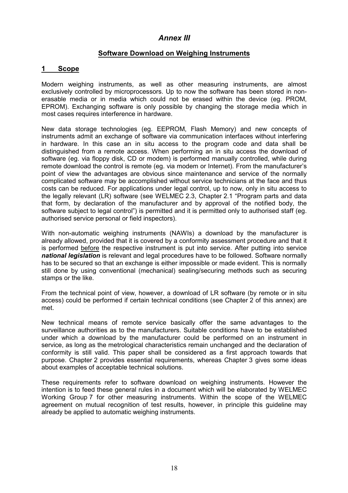## *Annex III*

## **Software Download on Weighing Instruments**

### <span id="page-17-0"></span>**1 Scope**

Modern weighing instruments, as well as other measuring instruments, are almost exclusively controlled by microprocessors. Up to now the software has been stored in nonerasable media or in media which could not be erased within the device (eg. PROM, EPROM). Exchanging software is only possible by changing the storage media which in most cases requires interference in hardware.

New data storage technologies (eg. EEPROM, Flash Memory) and new concepts of instruments admit an exchange of software via communication interfaces without interfering in hardware. In this case an in situ access to the program code and data shall be distinguished from a remote access. When performing an in situ access the download of software (eg. via floppy disk, CD or modem) is performed manually controlled, while during remote download the control is remote (eg. via modem or Internet). From the manufacturer's point of view the advantages are obvious since maintenance and service of the normally complicated software may be accomplished without service technicians at the face and thus costs can be reduced. For applications under legal control, up to now, only in situ access to the legally relevant (LR) software (see WELMEC 2.3, Chapter 2.1 "Program parts and data that form, by declaration of the manufacturer and by approval of the notified body, the software subject to legal control") is permitted and it is permitted only to authorised staff (eg. authorised service personal or field inspectors).

With non-automatic weighing instruments (NAWIs) a download by the manufacturer is already allowed, provided that it is covered by a conformity assessment procedure and that it is performed before the respective instrument is put into service. After putting into service *national legislation* is relevant and legal procedures have to be followed. Software normally has to be secured so that an exchange is either impossible or made evident. This is normally still done by using conventional (mechanical) sealing/securing methods such as securing stamps or the like.

From the technical point of view, however, a download of LR software (by remote or in situ access) could be performed if certain technical conditions (see Chapter 2 of this annex) are met.

New technical means of remote service basically offer the same advantages to the surveillance authorities as to the manufacturers. Suitable conditions have to be established under which a download by the manufacturer could be performed on an instrument in service, as long as the metrological characteristics remain unchanged and the declaration of conformity is still valid. This paper shall be considered as a first approach towards that purpose. Chapter 2 provides essential requirements, whereas Chapter 3 gives some ideas about examples of acceptable technical solutions.

These requirements refer to software download on weighing instruments. However the intention is to feed these general rules in a document which will be elaborated by WELMEC Working Group 7 for other measuring instruments. Within the scope of the WELMEC agreement on mutual recognition of test results, however, in principle this guideline may already be applied to automatic weighing instruments.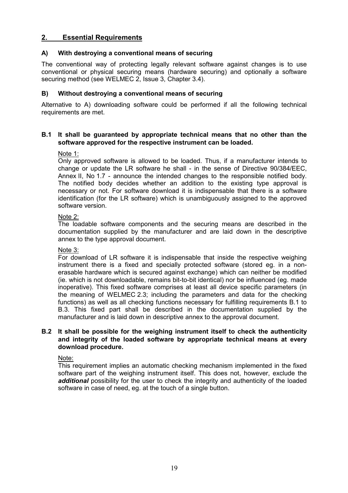## **2. Essential Requirements**

### **A) With destroying a conventional means of securing**

The conventional way of protecting legally relevant software against changes is to use conventional or physical securing means (hardware securing) and optionally a software securing method (see WELMEC 2, Issue 3, Chapter 3.4).

### **B) Without destroying a conventional means of securing**

Alternative to A) downloading software could be performed if all the following technical requirements are met.

### **B.1 It shall be guaranteed by appropriate technical means that no other than the software approved for the respective instrument can be loaded.**

### Note 1:

Only approved software is allowed to be loaded. Thus, if a manufacturer intends to change or update the LR software he shall - in the sense of Directive 90/384/EEC, Annex II, No 1.7 - announce the intended changes to the responsible notified body. The notified body decides whether an addition to the existing type approval is necessary or not. For software download it is indispensable that there is a software identification (for the LR software) which is unambiguously assigned to the approved software version.

### Note 2:

The loadable software components and the securing means are described in the documentation supplied by the manufacturer and are laid down in the descriptive annex to the type approval document.

### Note 3:

For download of LR software it is indispensable that inside the respective weighing instrument there is a fixed and specially protected software (stored eg. in a nonerasable hardware which is secured against exchange) which can neither be modified (ie. which is not downloadable, remains bit-to-bit identical) nor be influenced (eg. made inoperative). This fixed software comprises at least all device specific parameters (in the meaning of WELMEC 2.3; including the parameters and data for the checking functions) as well as all checking functions necessary for fulfilling requirements B.1 to B.3. This fixed part shall be described in the documentation supplied by the manufacturer and is laid down in descriptive annex to the approval document.

### **B.2 It shall be possible for the weighing instrument itself to check the authenticity and integrity of the loaded software by appropriate technical means at every download procedure.**

Note:

This requirement implies an automatic checking mechanism implemented in the fixed software part of the weighing instrument itself. This does not, however, exclude the *additional* possibility for the user to check the integrity and authenticity of the loaded software in case of need, eg. at the touch of a single button.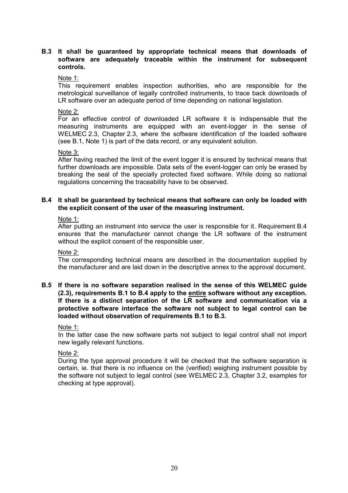### **B.3 It shall be guaranteed by appropriate technical means that downloads of software are adequately traceable within the instrument for subsequent controls.**

### Note 1:

This requirement enables inspection authorities, who are responsible for the metrological surveillance of legally controlled instruments, to trace back downloads of LR software over an adequate period of time depending on national legislation.

### Note<sub>2:</sub>

For an effective control of downloaded LR software it is indispensable that the measuring instruments are equipped with an event-logger in the sense of WELMEC 2.3, Chapter 2.3, where the software identification of the loaded software (see B.1, Note 1) is part of the data record, or any equivalent solution.

### Note 3:

After having reached the limit of the event logger it is ensured by technical means that further downloads are impossible. Data sets of the event-logger can only be erased by breaking the seal of the specially protected fixed software. While doing so national regulations concerning the traceability have to be observed.

### **B.4 It shall be guaranteed by technical means that software can only be loaded with the explicit consent of the user of the measuring instrument.**

### Note 1:

After putting an instrument into service the user is responsible for it. Requirement B.4 ensures that the manufacturer cannot change the LR software of the instrument without the explicit consent of the responsible user.

### Note 2:

The corresponding technical means are described in the documentation supplied by the manufacturer and are laid down in the descriptive annex to the approval document.

**B.5 If there is no software separation realised in the sense of this WELMEC guide (2.3), requirements B.1 to B.4 apply to the entire software without any exception. If there is a distinct separation of the LR software and communication via a protective software interface the software not subject to legal control can be loaded without observation of requirements B.1 to B.3.**

### Note 1:

In the latter case the new software parts not subject to legal control shall not import new legally relevant functions.

### Note 2:

During the type approval procedure it will be checked that the software separation is certain, ie. that there is no influence on the (verified) weighing instrument possible by the software not subject to legal control (see WELMEC 2.3, Chapter 3.2, examples for checking at type approval).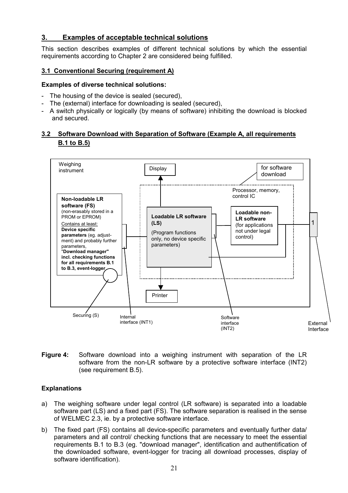## **3. Examples of acceptable technical solutions**

This section describes examples of different technical solutions by which the essential requirements according to Chapter 2 are considered being fulfilled.

### **3.1 Conventional Securing (requirement A)**

### **Examples of diverse technical solutions:**

- The housing of the device is sealed (secured),
- The (external) interface for downloading is sealed (secured),
- A switch physically or logically (by means of software) inhibiting the download is blocked and secured.

### **3.2 Software Download with Separation of Software (Example A, all requirements B.1 to B.5)**



**Figure 4:** Software download into a weighing instrument with separation of the LR software from the non-LR software by a protective software interface (INT2) (see requirement B.5).

### **Explanations**

- a) The weighing software under legal control (LR software) is separated into a loadable software part (LS) and a fixed part (FS). The software separation is realised in the sense of WELMEC 2.3, ie. by a protective software interface.
- b) The fixed part (FS) contains all device-specific parameters and eventually further data/ parameters and all control/ checking functions that are necessary to meet the essential requirements B.1 to B.3 (eg. "download manager", identification and authentification of the downloaded software, event-logger for tracing all download processes, display of software identification).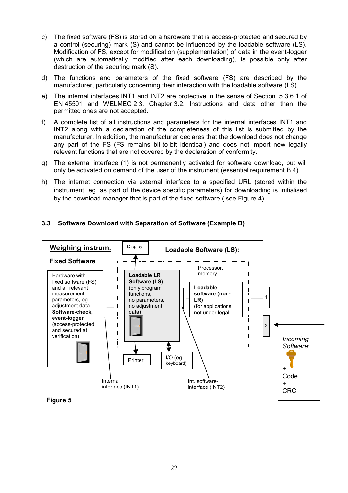- c) The fixed software (FS) is stored on a hardware that is access-protected and secured by a control (securing) mark (S) and cannot be influenced by the loadable software (LS). Modification of FS, except for modification (supplementation) of data in the event-logger (which are automatically modified after each downloading), is possible only after destruction of the securing mark (S).
- d) The functions and parameters of the fixed software (FS) are described by the manufacturer, particularly concerning their interaction with the loadable software (LS).
- e) The internal interfaces INT1 and INT2 are protective in the sense of Section. 5.3.6.1 of EN 45501 and WELMEC 2.3, Chapter 3.2. Instructions and data other than the permitted ones are not accepted.
- f) A complete list of all instructions and parameters for the internal interfaces INT1 and INT2 along with a declaration of the completeness of this list is submitted by the manufacturer. In addition, the manufacturer declares that the download does not change any part of the FS (FS remains bit-to-bit identical) and does not import new legally relevant functions that are not covered by the declaration of conformity.
- g) The external interface (1) is not permanently activated for software download, but will only be activated on demand of the user of the instrument (essential requirement B.4).
- h) The internet connection via external interface to a specified URL (stored within the instrument, eg. as part of the device specific parameters) for downloading is initialised by the download manager that is part of the fixed software ( see Figure 4).

## **3.3 Software Download with Separation of Software (Example B)**



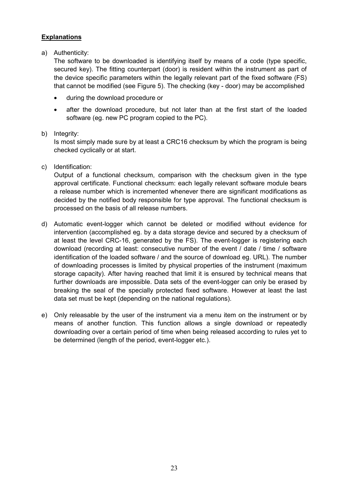## **Explanations**

a) Authenticity:

The software to be downloaded is identifying itself by means of a code (type specific, secured key). The fitting counterpart (door) is resident within the instrument as part of the device specific parameters within the legally relevant part of the fixed software (FS) that cannot be modified (see Figure 5). The checking (key - door) may be accomplished

- during the download procedure or
- after the download procedure, but not later than at the first start of the loaded software (eg. new PC program copied to the PC).

### b) Integrity:

Is most simply made sure by at least a CRC16 checksum by which the program is being checked cyclically or at start.

c) Identification:

Output of a functional checksum, comparison with the checksum given in the type approval certificate. Functional checksum: each legally relevant software module bears a release number which is incremented whenever there are significant modifications as decided by the notified body responsible for type approval. The functional checksum is processed on the basis of all release numbers.

- d) Automatic event-logger which cannot be deleted or modified without evidence for intervention (accomplished eg. by a data storage device and secured by a checksum of at least the level CRC-16, generated by the FS). The event-logger is registering each download (recording at least: consecutive number of the event / date / time / software identification of the loaded software / and the source of download eg. URL). The number of downloading processes is limited by physical properties of the instrument (maximum storage capacity). After having reached that limit it is ensured by technical means that further downloads are impossible. Data sets of the event-logger can only be erased by breaking the seal of the specially protected fixed software. However at least the last data set must be kept (depending on the national regulations).
- e) Only releasable by the user of the instrument via a menu item on the instrument or by means of another function. This function allows a single download or repeatedly downloading over a certain period of time when being released according to rules yet to be determined (length of the period, event-logger etc.).